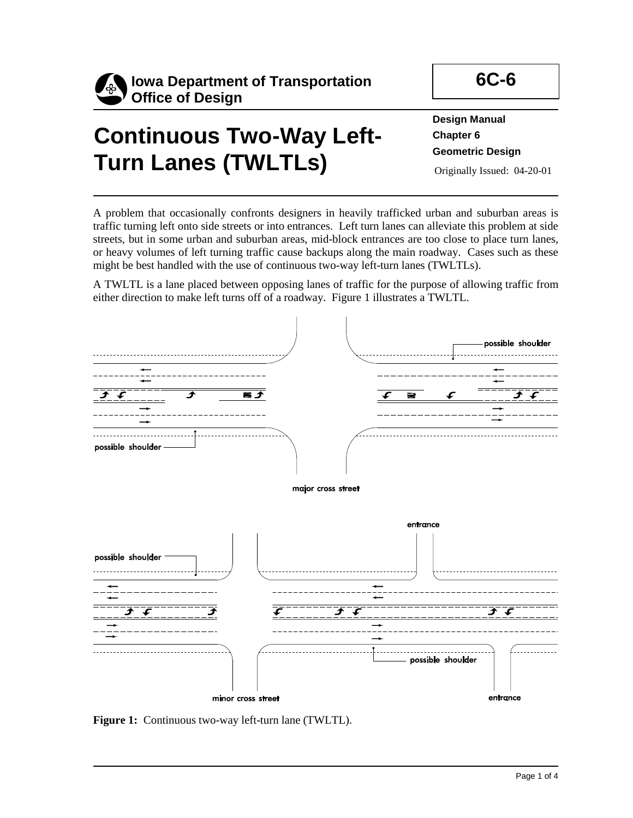

# **Continuous Two-Way Left-Turn Lanes (TWLTLs)**

**Design Manual Chapter 6 Geometric Design** 

Originally Issued: 04-20-01

A problem that occasionally confronts designers in heavily trafficked urban and suburban areas is traffic turning left onto side streets or into entrances. Left turn lanes can alleviate this problem at side streets, but in some urban and suburban areas, mid-block entrances are too close to place turn lanes, or heavy volumes of left turning traffic cause backups along the main roadway. Cases such as these might be best handled with the use of continuous two-way left-turn lanes (TWLTLs).

A TWLTL is a lane placed between opposing lanes of traffic for the purpose of allowing traffic from either direction to make left turns off of a roadway. Figure 1 illustrates a TWLTL.



**Figure 1:** Continuous two-way left-turn lane (TWLTL).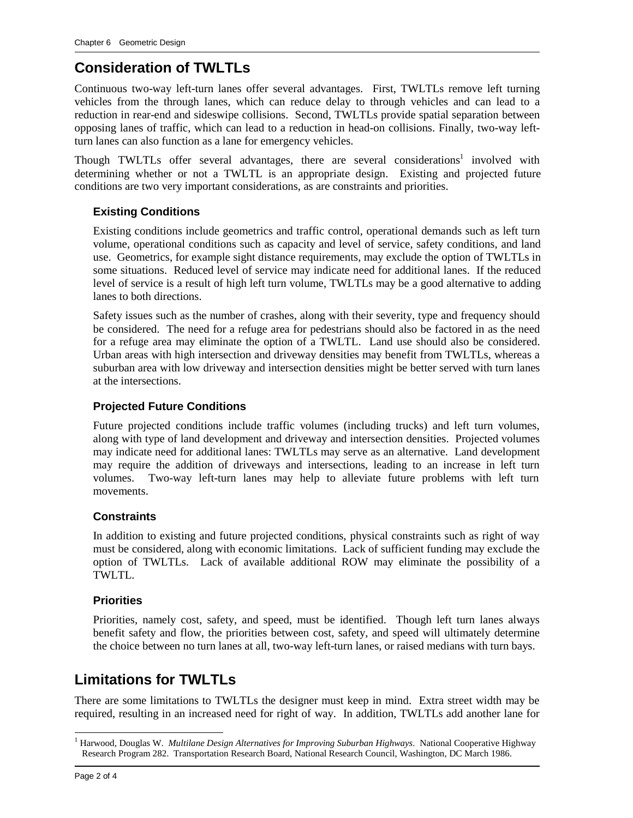## **Consideration of TWLTLs**

Continuous two-way left-turn lanes offer several advantages. First, TWLTLs remove left turning vehicles from the through lanes, which can reduce delay to through vehicles and can lead to a reduction in rear-end and sideswipe collisions. Second, TWLTLs provide spatial separation between opposing lanes of traffic, which can lead to a reduction in head-on collisions. Finally, two-way leftturn lanes can also function as a lane for emergency vehicles.

Though TWLTLs offer several advantages, there are several considerations<sup>1</sup> involved with determining whether or not a TWLTL is an appropriate design. Existing and projected future conditions are two very important considerations, as are constraints and priorities.

#### **Existing Conditions**

Existing conditions include geometrics and traffic control, operational demands such as left turn volume, operational conditions such as capacity and level of service, safety conditions, and land use. Geometrics, for example sight distance requirements, may exclude the option of TWLTLs in some situations. Reduced level of service may indicate need for additional lanes. If the reduced level of service is a result of high left turn volume, TWLTLs may be a good alternative to adding lanes to both directions.

Safety issues such as the number of crashes, along with their severity, type and frequency should be considered. The need for a refuge area for pedestrians should also be factored in as the need for a refuge area may eliminate the option of a TWLTL. Land use should also be considered. Urban areas with high intersection and driveway densities may benefit from TWLTLs, whereas a suburban area with low driveway and intersection densities might be better served with turn lanes at the intersections.

#### **Projected Future Conditions**

Future projected conditions include traffic volumes (including trucks) and left turn volumes, along with type of land development and driveway and intersection densities. Projected volumes may indicate need for additional lanes: TWLTLs may serve as an alternative. Land development may require the addition of driveways and intersections, leading to an increase in left turn volumes. Two-way left-turn lanes may help to alleviate future problems with left turn movements.

#### **Constraints**

In addition to existing and future projected conditions, physical constraints such as right of way must be considered, along with economic limitations. Lack of sufficient funding may exclude the option of TWLTLs. Lack of available additional ROW may eliminate the possibility of a TWLTL.

#### **Priorities**

Priorities, namely cost, safety, and speed, must be identified. Though left turn lanes always benefit safety and flow, the priorities between cost, safety, and speed will ultimately determine the choice between no turn lanes at all, two-way left-turn lanes, or raised medians with turn bays.

### **Limitations for TWLTLs**

There are some limitations to TWLTLs the designer must keep in mind. Extra street width may be required, resulting in an increased need for right of way. In addition, TWLTLs add another lane for

 $\overline{a}$ <sup>1</sup> Harwood, Douglas W. *Multilane Design Alternatives for Improving Suburban Highways*. National Cooperative Highway Research Program 282. Transportation Research Board, National Research Council, Washington, DC March 1986.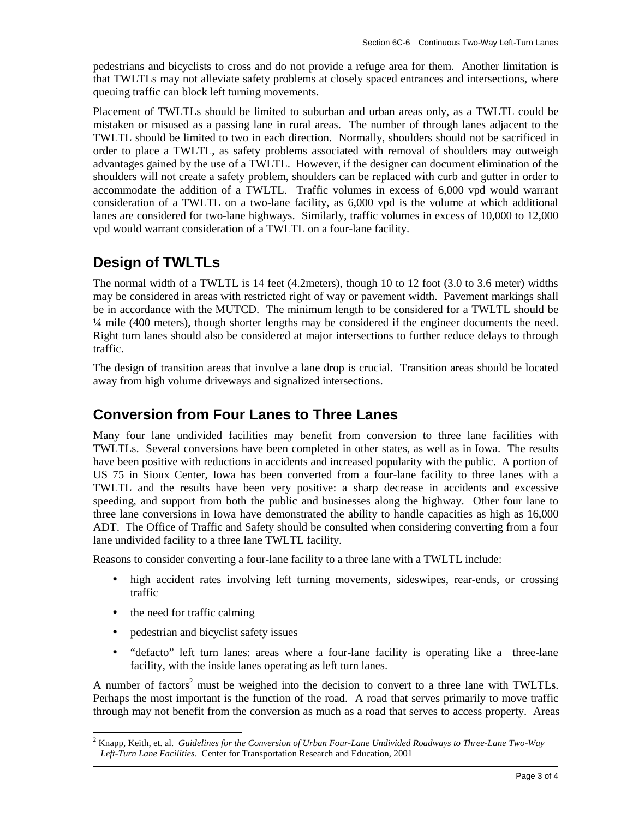pedestrians and bicyclists to cross and do not provide a refuge area for them. Another limitation is that TWLTLs may not alleviate safety problems at closely spaced entrances and intersections, where queuing traffic can block left turning movements.

Placement of TWLTLs should be limited to suburban and urban areas only, as a TWLTL could be mistaken or misused as a passing lane in rural areas. The number of through lanes adjacent to the TWLTL should be limited to two in each direction. Normally, shoulders should not be sacrificed in order to place a TWLTL, as safety problems associated with removal of shoulders may outweigh advantages gained by the use of a TWLTL. However, if the designer can document elimination of the shoulders will not create a safety problem, shoulders can be replaced with curb and gutter in order to accommodate the addition of a TWLTL. Traffic volumes in excess of 6,000 vpd would warrant consideration of a TWLTL on a two-lane facility, as 6,000 vpd is the volume at which additional lanes are considered for two-lane highways. Similarly, traffic volumes in excess of 10,000 to 12,000 vpd would warrant consideration of a TWLTL on a four-lane facility.

## **Design of TWLTLs**

The normal width of a TWLTL is 14 feet (4.2meters), though 10 to 12 foot (3.0 to 3.6 meter) widths may be considered in areas with restricted right of way or pavement width. Pavement markings shall be in accordance with the MUTCD. The minimum length to be considered for a TWLTL should be ¼ mile (400 meters), though shorter lengths may be considered if the engineer documents the need. Right turn lanes should also be considered at major intersections to further reduce delays to through traffic.

The design of transition areas that involve a lane drop is crucial. Transition areas should be located away from high volume driveways and signalized intersections.

## **Conversion from Four Lanes to Three Lanes**

Many four lane undivided facilities may benefit from conversion to three lane facilities with TWLTLs. Several conversions have been completed in other states, as well as in Iowa. The results have been positive with reductions in accidents and increased popularity with the public. A portion of US 75 in Sioux Center, Iowa has been converted from a four-lane facility to three lanes with a TWLTL and the results have been very positive: a sharp decrease in accidents and excessive speeding, and support from both the public and businesses along the highway. Other four lane to three lane conversions in Iowa have demonstrated the ability to handle capacities as high as 16,000 ADT. The Office of Traffic and Safety should be consulted when considering converting from a four lane undivided facility to a three lane TWLTL facility.

Reasons to consider converting a four-lane facility to a three lane with a TWLTL include:

- high accident rates involving left turning movements, sideswipes, rear-ends, or crossing traffic
- the need for traffic calming
- pedestrian and bicyclist safety issues
- "defacto" left turn lanes: areas where a four-lane facility is operating like a three-lane facility, with the inside lanes operating as left turn lanes.

A number of factors<sup>2</sup> must be weighed into the decision to convert to a three lane with TWLTLs. Perhaps the most important is the function of the road. A road that serves primarily to move traffic through may not benefit from the conversion as much as a road that serves to access property. Areas

 $\overline{a}$ 2 Knapp, Keith, et. al. *Guidelines for the Conversion of Urban Four-Lane Undivided Roadways to Three-Lane Two-Way Left-Turn Lane Facilities*. Center for Transportation Research and Education, 2001